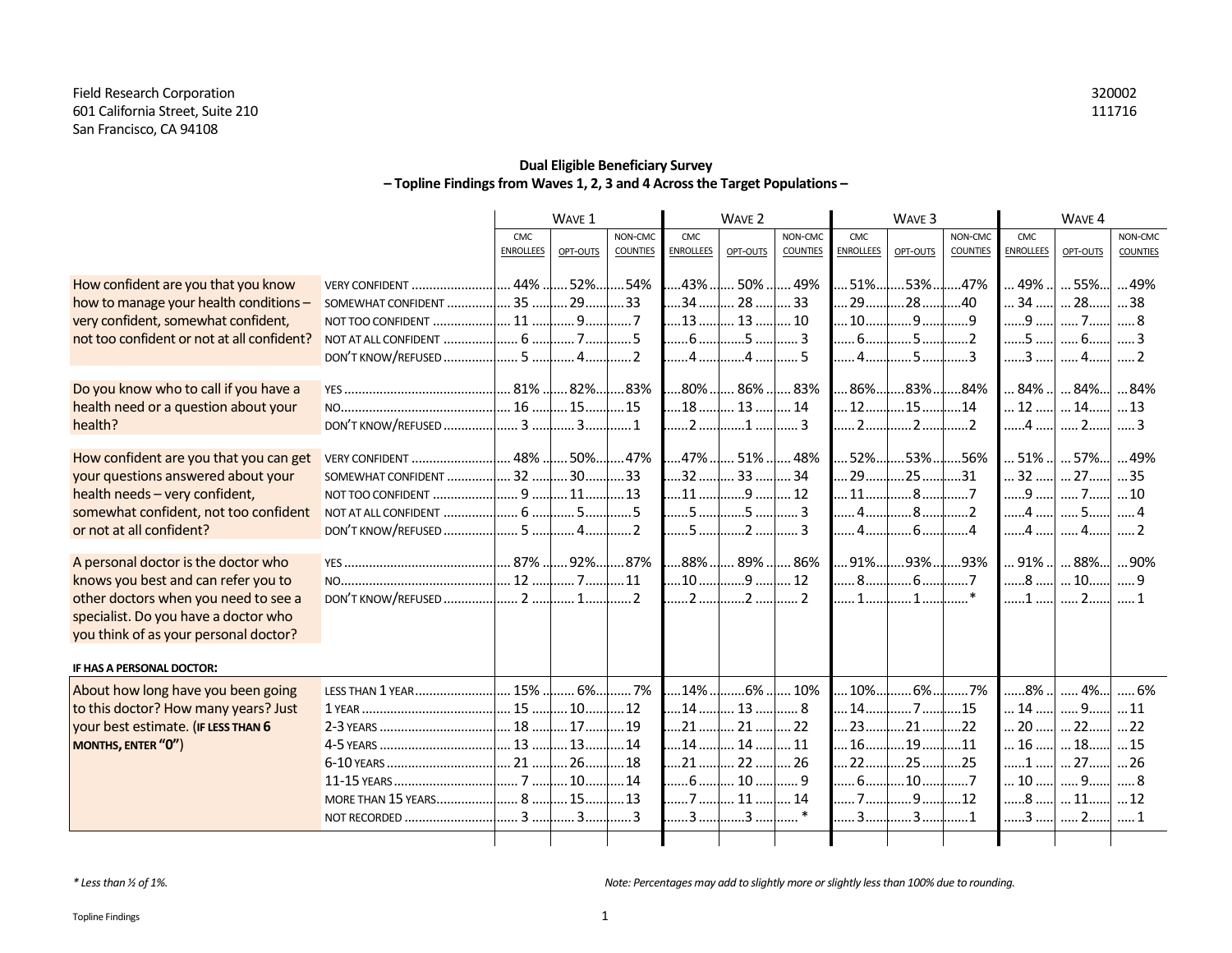### **Dual Eligible Beneficiary Survey – Topline Findings from Waves 1, 2, 3 and 4 Across the Target Populations –**

|                                                                   |                    |                    | WAVE 1               |                   | WAVE <sub>2</sub>  |                    | WAVE <sub>3</sub> |                    |                                        | WAVE 4          |                    |                     |                 |
|-------------------------------------------------------------------|--------------------|--------------------|----------------------|-------------------|--------------------|--------------------|-------------------|--------------------|----------------------------------------|-----------------|--------------------|---------------------|-----------------|
|                                                                   |                    | CMC.               |                      | NON-CMC           | CMC.               |                    | NON-CMC           | CMC.               |                                        | NON-CMC         | CMC.               |                     | NON-CMC         |
|                                                                   |                    | <b>ENROLLEES</b>   | OPT-OUTS             | <b>COUNTIES</b>   | <b>ENROLLEES</b>   | OPT-OUTS           | <b>COUNTIES</b>   | <b>ENROLLEES</b>   | OPT-OUTS                               | <b>COUNTIES</b> | <b>ENROLLEES</b>   | OPT-OUTS            | <b>COUNTIES</b> |
| How confident are you that you know                               |                    |                    | $52\%$               | .54%              | $.43\%$            | 50%                | .49%              | $51\%$             | .53%…                                  | 47%             | .49%               | $55\%$              | 49%             |
| how to manage your health conditions -                            |                    |                    | 29                   | 33                | .34                | 28                 | .33               | .29.               | .28.                                   | .40             | $34$               | 28                  | 38              |
| very confident, somewhat confident,                               |                    |                    | 9                    | 7                 | $\dots$ 13 $\dots$ | 13                 | 10                | $\dots$ 10 $\dots$ | 9                                      | 9               | 9                  | 7                   |                 |
| not too confident or not at all confident?                        |                    |                    | 7                    | 5                 | 6                  | 5                  | 3                 | . 6.               | .5                                     | 2               | 5                  | 6                   |                 |
|                                                                   |                    |                    | 4                    | 2                 | 4                  | 4                  | 5                 | 4                  | 5                                      |                 | 3                  | 4                   |                 |
|                                                                   |                    |                    |                      |                   |                    |                    |                   |                    |                                        |                 |                    |                     |                 |
| Do you know who to call if you have a                             |                    |                    |                      | 83%               |                    | 80% 86%            | 83%               | $86\%$             | $83\%$                                 | .84%            | 84%                | $84\%$              | 84%             |
| health need or a question about your                              |                    | $ 16$              | $\dots$ 15 $\dots$   | .15               | 18                 | 13                 | 14                | 12                 | .15.                                   | .14             | 12                 | $\dots$ 14 $\dots$  | $\dots$ 13      |
| health?                                                           |                    |                    |                      | 1                 | 2                  | . 1                | 3                 | $12\ldots$         | 2                                      |                 | 4                  | 2                   | 3               |
|                                                                   |                    |                    |                      |                   |                    |                    |                   |                    |                                        |                 |                    |                     |                 |
|                                                                   |                    | $\dots$ 32 $\dots$ | 50%                  | 47%               | 47%                | $51\%$<br>33       | 48%               | $52\%$             | $.53\%$                                | 56%             | 51%                | $57\%$              | 49%             |
| your questions answered about your                                | SOMEWHAT CONFIDENT |                    | 30                   | .33<br>$\dots$ 13 | .32<br>11          | 9                  | 34<br>12          | 29<br>11.          | .25.<br>.8                             | .31             | 32<br>9            | $\dots$ 27 $\dots$  | 35              |
| health needs - very confident,                                    |                    |                    |                      | 5                 |                    | 5 <b>.</b> 5       | 3                 | . 4                | 8                                      |                 |                    | 7<br>4 ]  5]  4     | $\dots$ 10      |
| somewhat confident, not too confident<br>or not at all confident? |                    |                    |                      | 2                 |                    | 5 <mark>.</mark> 2 | 3                 |                    | $\ldots$ . 4. $\ldots$ . 6. $\ldots$ . | 4               |                    | $\dots$ 4 $\dots$ 2 |                 |
|                                                                   |                    |                    |                      |                   |                    |                    |                   |                    |                                        |                 | 4                  |                     |                 |
| A personal doctor is the doctor who                               |                    |                    | 87% $\lfloor  92\% $ | .87%              | 88%                | 89%                | 86%               | 91%                | .93%                                   | .93%            | 91%                | $88\%$              | 90%             |
| knows you best and can refer you to                               |                    |                    |                      | 11                |                    | $10$ $9$           | 12                |                    | 86                                     | 7               |                    | 8  10  9            |                 |
| other doctors when you need to see a                              |                    |                    |                      | 2                 |                    | 2 2                | . 2               | 1l                 | 1                                      |                 | 1                  | 2!                  | . 1             |
| specialist. Do you have a doctor who                              |                    |                    |                      |                   |                    |                    |                   |                    |                                        |                 |                    |                     |                 |
| you think of as your personal doctor?                             |                    |                    |                      |                   |                    |                    |                   |                    |                                        |                 |                    |                     |                 |
|                                                                   |                    |                    |                      |                   |                    |                    |                   |                    |                                        |                 |                    |                     |                 |
| IF HAS A PERSONAL DOCTOR:                                         |                    |                    |                      |                   |                    |                    |                   |                    |                                        |                 |                    |                     |                 |
| About how long have you been going                                | LESS THAN 1 YEAR   | $$ 15% $$          | $ 6\% $              | .7%               | $.14%$ .           | $.6\%$ $$          | 10%               | $10\%$             | $.6\%$                                 | 7%              | 8%                 | .4%                 | 6%              |
| to this doctor? How many years? Just                              |                    |                    |                      | $\dots$ 12        | $14$               | 13                 | 8                 | 14                 | 7 l.                                   | 15              | 14                 | 9                   | 11              |
| your best estimate. (IF LESS THAN 6                               | 2-3 YEARS          | 18                 | $\dots$ 17           | 19                | 21                 | 21                 | 22                | 23                 | $\dots$ 21 $\dots$                     | .22             | $\dots$ 20 $\dots$ | $\dots$ 22 $\dots$  | 22              |
| MONTHS, ENTER "0")                                                | 4-5 YEARS          | $\dots$ 13 $\dots$ | 13                   | $\dots$ 14        | 14                 | 14                 | 11                | 16                 | .19.                                   | .11             | $\dots$ 16 $\dots$ | 18                  | 15              |
|                                                                   | 6-10 YEARS         | $.21$              | $\dots$ 26 $\dots$   | .18               | 21                 | 22.                | 26                | .22.               | .25.                                   | .25             | 1                  | $\dots$ 27          | 26              |
|                                                                   | 11-15 YEARS        | 7                  | $\dots$ 10 $\dots$   | 14                | 6                  | $\dots$ 10 $\dots$ | . 9               | 6                  | 10                                     | $\dots$ 7       | $\dots$ 10 $\dots$ | 9                   |                 |
|                                                                   | MORE THAN 15 YEARS | 8                  | 15                   | 13                |                    | $\dots$ 11         | 14                | 7                  | .9                                     | .12             | 8                  | 11                  | 12              |
|                                                                   | NOT RECORDED       | 1.1.13.1.1         | 3                    | 3                 | 3                  | 3                  | $\ast$            | 3                  | 3                                      | 1               | $3$ $$             | 2                   |                 |
|                                                                   |                    |                    |                      |                   |                    |                    |                   |                    |                                        |                 |                    |                     |                 |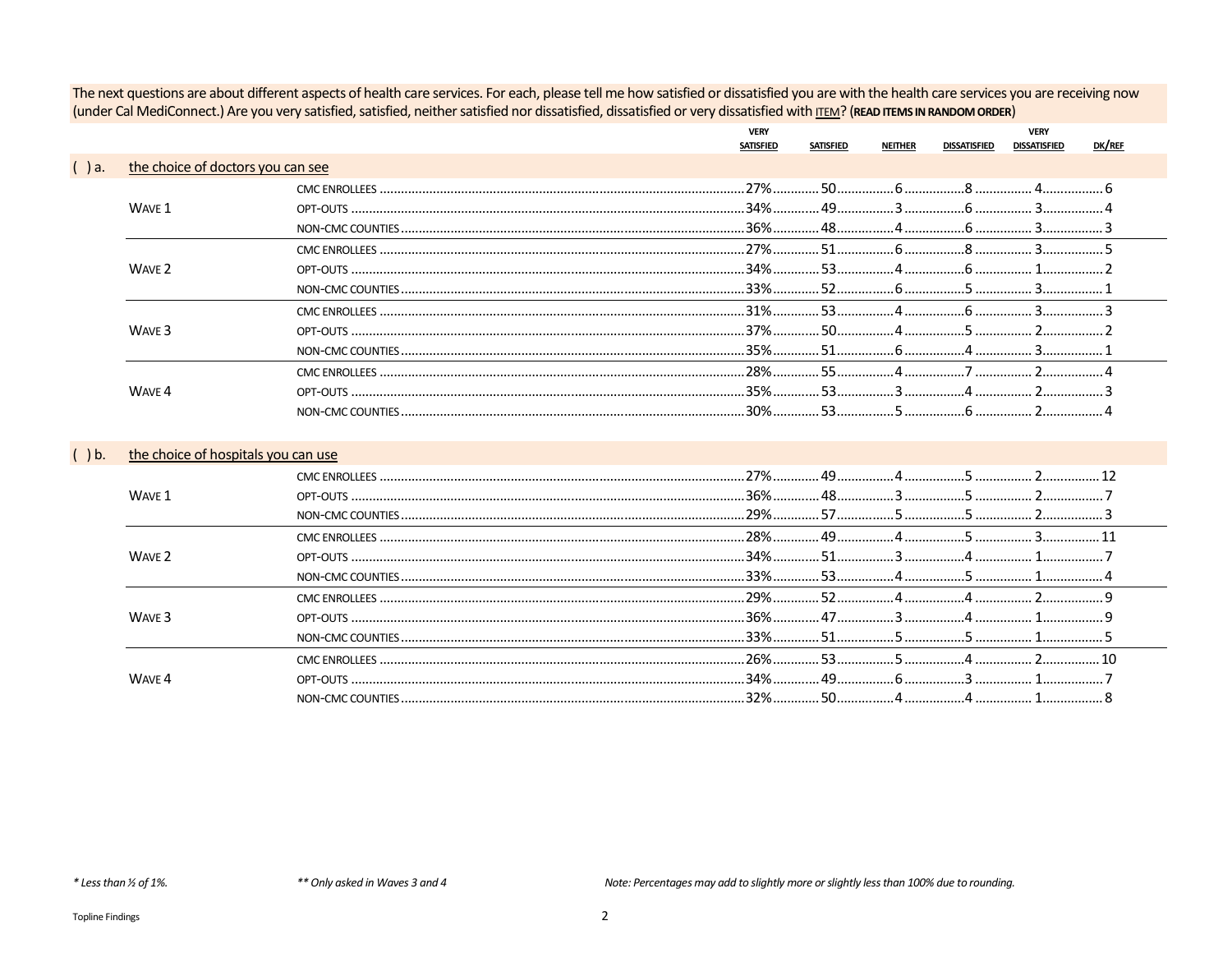The next questions are about different aspects of health care services. For each, please tell me how satisfied or dissatisfied you are with the health care services you are receiving now (under Cal MediConnect.) Are you very satisfied, satisfied, neither satisfied nor dissatisfied, dissatisfied or very dissatisfied with ITEM? (READ ITEMS IN RANDOM ORDER)

|         |                                     | <b>VERY</b><br><b>SATISFIED</b> | <b>SATISFIED</b> | NEITHER | DISSATISFIED | <b>VERY</b><br><b>DISSATISFIED</b> | DK/REF |
|---------|-------------------------------------|---------------------------------|------------------|---------|--------------|------------------------------------|--------|
| ()a.    | the choice of doctors you can see   |                                 |                  |         |              |                                    |        |
|         |                                     |                                 |                  |         |              |                                    |        |
|         | WAVE 1                              |                                 |                  |         |              |                                    |        |
|         |                                     |                                 |                  |         |              |                                    |        |
|         |                                     |                                 |                  |         |              |                                    |        |
|         | WAVE 2                              |                                 |                  |         |              |                                    |        |
|         |                                     |                                 |                  |         |              |                                    |        |
|         |                                     |                                 |                  |         |              |                                    |        |
|         | WAVE 3                              |                                 |                  |         |              |                                    |        |
|         |                                     |                                 |                  |         |              |                                    |        |
|         |                                     |                                 |                  |         |              |                                    |        |
|         | WAVE 4                              |                                 |                  |         |              |                                    |        |
|         |                                     |                                 |                  |         |              |                                    |        |
|         |                                     |                                 |                  |         |              |                                    |        |
| $()$ b. | the choice of hospitals you can use |                                 |                  |         |              |                                    |        |
|         |                                     |                                 |                  |         |              |                                    |        |
|         | WAVE 1                              |                                 |                  |         |              |                                    |        |
|         |                                     |                                 |                  |         |              |                                    |        |
|         |                                     |                                 |                  |         |              |                                    |        |
|         | WAVE 2                              |                                 |                  |         |              |                                    |        |
|         |                                     |                                 |                  |         |              |                                    |        |
|         |                                     |                                 |                  |         |              |                                    |        |
|         | WAVE <sub>3</sub>                   |                                 |                  |         |              |                                    |        |
|         |                                     |                                 |                  |         |              |                                    |        |
|         |                                     |                                 |                  |         |              | $\overline{2}$                     |        |
|         | WAVE 4                              |                                 |                  |         |              |                                    |        |
|         |                                     |                                 |                  |         |              |                                    |        |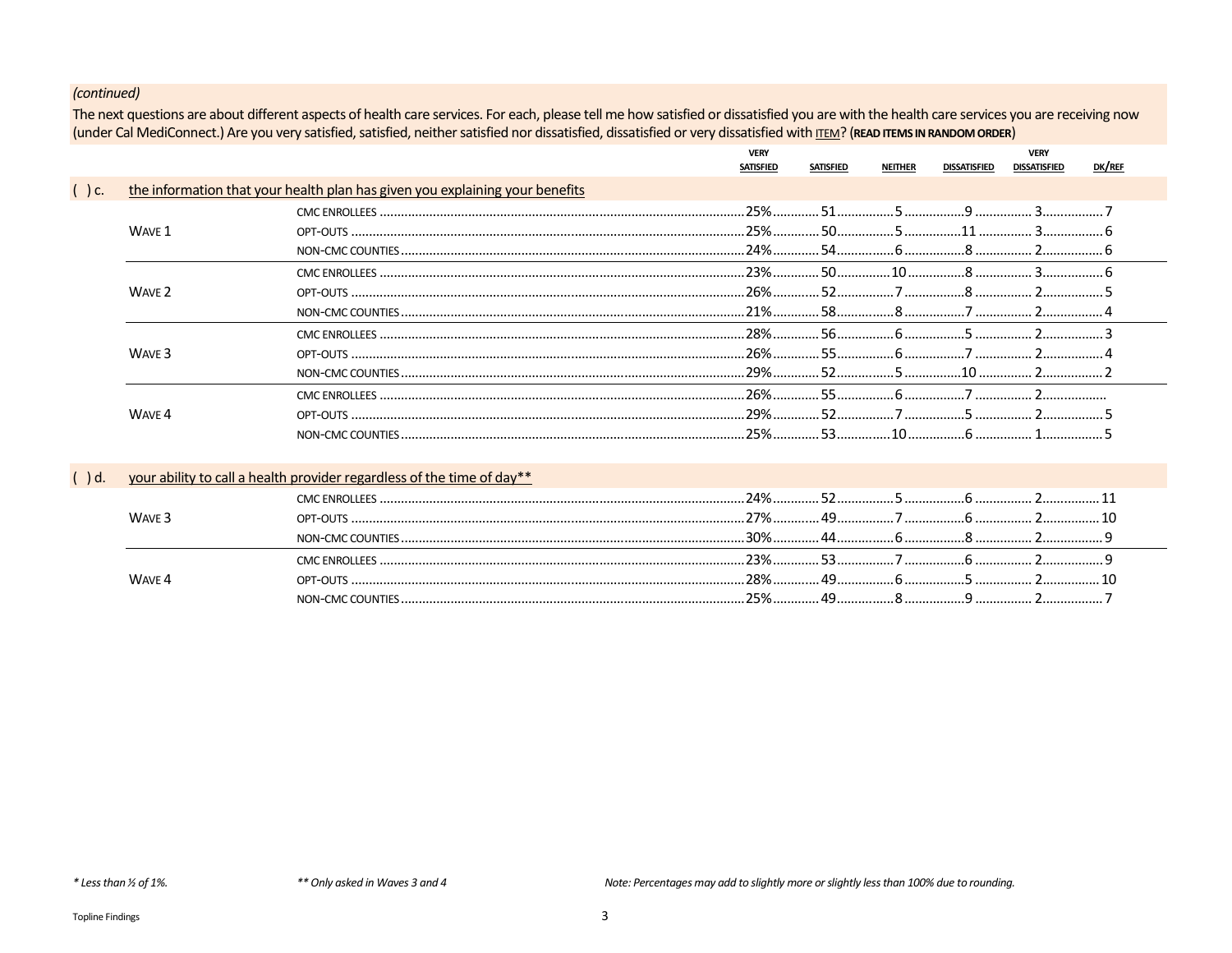The next questions are about different aspects of health care services. For each, please tell me how satisfied or dissatisfied you are with the health care services you are receiving now (under Cal MediConnect.) Are you very satisfied, satisfied, neither satisfied nor dissatisfied, dissatisfied or very dissatisfied with ITEM? (READ ITEMS IN RANDOM ORDER)

|             |                   |                                                                              | <b>VERY</b><br>SATISFIED | <b>SATISFIED</b> | <b>NEITHER</b> | <b>DISSATISFIED</b> | <b>VERY</b><br><b>DISSATISFIED</b> | DK/REF |  |
|-------------|-------------------|------------------------------------------------------------------------------|--------------------------|------------------|----------------|---------------------|------------------------------------|--------|--|
| $\int$ ) c. |                   | the information that your health plan has given you explaining your benefits |                          |                  |                |                     |                                    |        |  |
|             |                   |                                                                              |                          |                  |                |                     |                                    |        |  |
|             | WAVE 1            |                                                                              |                          |                  |                |                     |                                    |        |  |
|             |                   |                                                                              |                          |                  |                |                     |                                    |        |  |
|             |                   |                                                                              |                          |                  |                |                     |                                    |        |  |
|             | WAVE 2            |                                                                              |                          |                  |                |                     |                                    |        |  |
|             |                   |                                                                              |                          |                  |                |                     |                                    |        |  |
|             |                   |                                                                              |                          |                  |                |                     |                                    |        |  |
|             | WAVE <sub>3</sub> |                                                                              |                          |                  |                |                     |                                    |        |  |
|             |                   |                                                                              |                          |                  |                |                     |                                    |        |  |
|             |                   |                                                                              |                          |                  |                |                     |                                    |        |  |
|             | WAVE 4            |                                                                              |                          |                  |                |                     |                                    |        |  |
|             |                   |                                                                              |                          |                  |                |                     |                                    |        |  |

# () d. your ability to call a health provider regardless of the time of day\*\*

|                   | <b>CMC ENROLLEES</b> |  |  |  |
|-------------------|----------------------|--|--|--|
| WAVE <sub>3</sub> |                      |  |  |  |
|                   |                      |  |  |  |
|                   | CMC ENROLLEES        |  |  |  |
| WAVE 4            | OPT-OUTS             |  |  |  |
|                   |                      |  |  |  |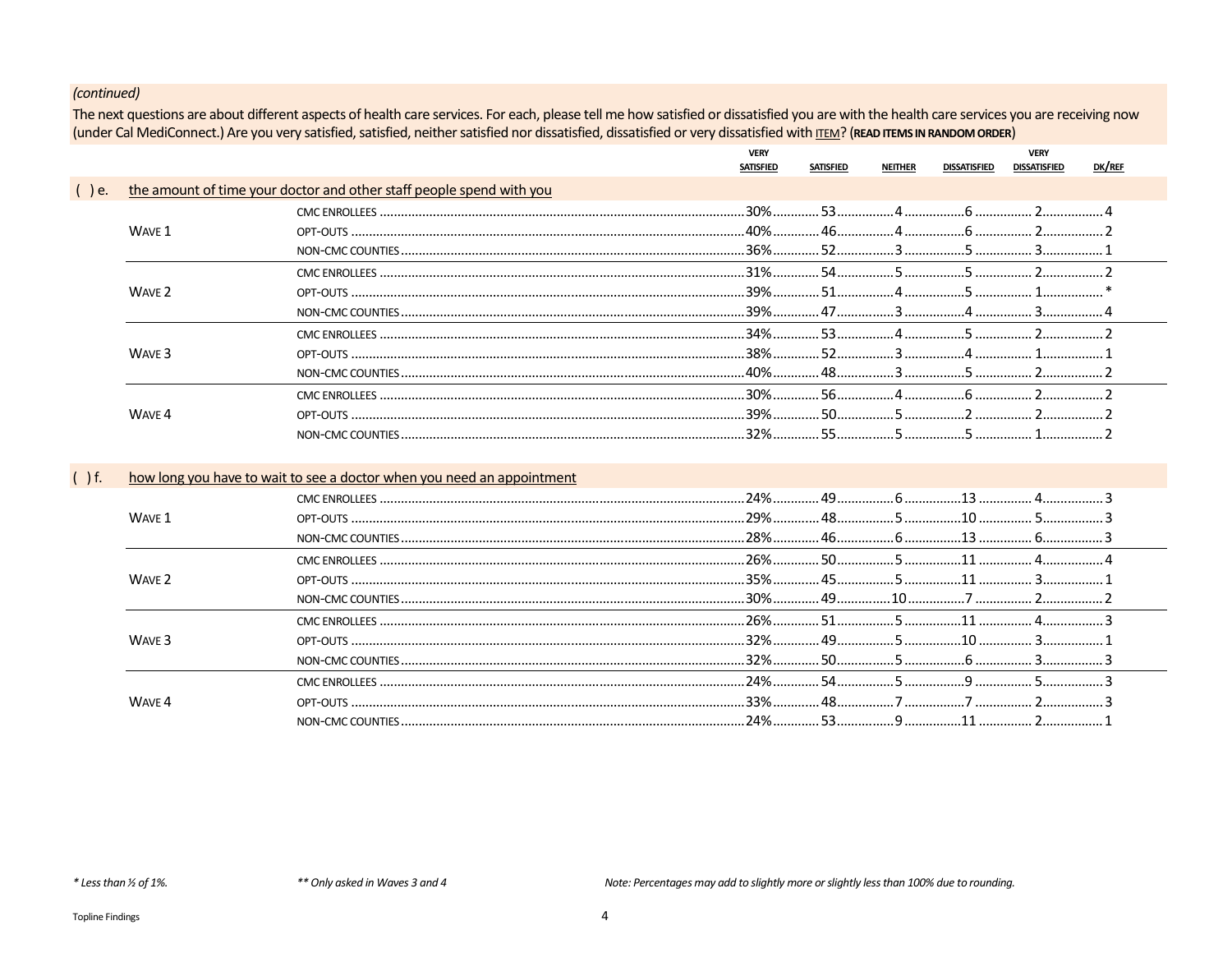The next questions are about different aspects of health care services. For each, please tell me how satisfied or dissatisfied you are with the health care services you are receiving now (under Cal MediConnect.) Are you very satisfied, satisfied, neither satisfied nor dissatisfied, dissatisfied or very dissatisfied with ITEM? (READ ITEMS IN RANDOM ORDER)

|         |                   |                                                                        | <b>VERY</b><br><b>SATISFIED</b> | <b>SATISFIED</b> | <b>NEITHER</b> | <b>DISSATISFIED</b> | <b>VERY</b><br><b>DISSATISFIED</b> | DK/REF |
|---------|-------------------|------------------------------------------------------------------------|---------------------------------|------------------|----------------|---------------------|------------------------------------|--------|
| $()$ e. |                   | the amount of time your doctor and other staff people spend with you   |                                 |                  |                |                     |                                    |        |
|         |                   |                                                                        |                                 |                  |                |                     |                                    |        |
|         | WAVE 1            |                                                                        |                                 |                  |                |                     |                                    |        |
|         |                   |                                                                        |                                 |                  |                |                     |                                    |        |
|         |                   |                                                                        |                                 |                  |                |                     |                                    |        |
|         | WAVE 2            |                                                                        |                                 |                  |                |                     |                                    |        |
|         |                   |                                                                        |                                 |                  |                |                     |                                    |        |
|         |                   |                                                                        |                                 |                  |                |                     |                                    |        |
|         | WAVE 3            |                                                                        |                                 |                  |                |                     |                                    |        |
|         |                   |                                                                        |                                 |                  |                |                     |                                    |        |
|         |                   |                                                                        |                                 |                  |                |                     |                                    |        |
|         | WAVE 4            |                                                                        |                                 |                  |                |                     |                                    |        |
|         |                   |                                                                        |                                 |                  |                |                     |                                    |        |
|         |                   |                                                                        |                                 |                  |                |                     |                                    |        |
| ()f.    |                   | how long you have to wait to see a doctor when you need an appointment |                                 |                  |                |                     |                                    |        |
|         |                   |                                                                        |                                 |                  |                |                     |                                    |        |
|         | WAVE 1            |                                                                        |                                 |                  |                |                     |                                    |        |
|         |                   |                                                                        |                                 |                  |                |                     |                                    |        |
|         |                   |                                                                        |                                 |                  |                |                     |                                    |        |
|         | WAVE 2            |                                                                        |                                 |                  |                |                     |                                    |        |
|         |                   |                                                                        |                                 |                  |                |                     |                                    |        |
|         |                   |                                                                        |                                 |                  |                |                     |                                    |        |
|         | WAVE <sub>3</sub> |                                                                        |                                 |                  |                |                     |                                    |        |
|         |                   |                                                                        |                                 |                  |                |                     |                                    |        |
|         |                   |                                                                        |                                 |                  |                |                     |                                    |        |
|         | WAVE 4            |                                                                        |                                 |                  |                |                     |                                    |        |
|         |                   |                                                                        |                                 |                  |                |                     |                                    |        |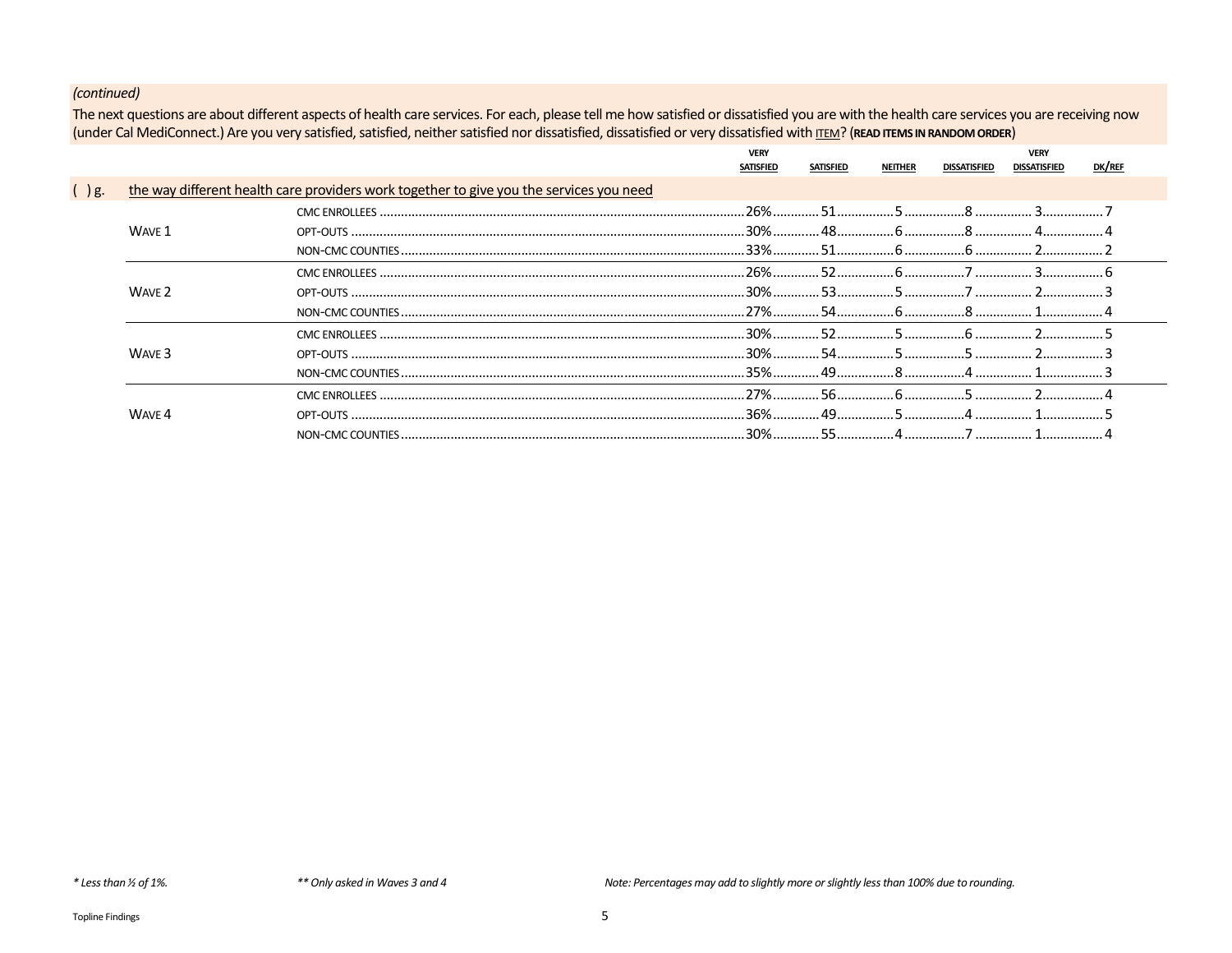The next questions are about different aspects of health care services. For each, please tell me how satisfied or dissatisfied you are with the health care services you are receiving now (under Cal MediConnect.) Are you very satisfied, satisfied, neither satisfied nor dissatisfied, dissatisfied or very dissatisfied with ITEM? (READ ITEMS IN RANDOM ORDER)

|           |                   |                                                                                         | <b>VERY</b> |                  |                |              | <b>VERY</b>         |        |  |
|-----------|-------------------|-----------------------------------------------------------------------------------------|-------------|------------------|----------------|--------------|---------------------|--------|--|
|           |                   |                                                                                         | SATISFIED   | <b>SATISFIED</b> | <b>NEITHER</b> | DISSATISFIED | <b>DISSATISFIED</b> | DK/REF |  |
| $\int g.$ |                   | the way different health care providers work together to give you the services you need |             |                  |                |              |                     |        |  |
|           |                   |                                                                                         |             |                  |                |              |                     |        |  |
|           | WAVE 1            |                                                                                         |             |                  |                |              |                     |        |  |
|           |                   |                                                                                         |             |                  | 6 <sup>6</sup> |              |                     |        |  |
|           |                   |                                                                                         |             |                  |                |              |                     |        |  |
|           | WAVE 2            |                                                                                         |             |                  |                |              |                     |        |  |
|           |                   |                                                                                         |             |                  |                | 6 8 1        |                     |        |  |
|           |                   |                                                                                         |             |                  |                |              |                     |        |  |
|           | WAVE <sub>3</sub> |                                                                                         |             |                  |                |              |                     |        |  |
|           |                   |                                                                                         |             |                  |                |              |                     |        |  |
|           |                   |                                                                                         |             |                  |                |              |                     |        |  |
|           | WAVE 4            |                                                                                         |             |                  |                |              |                     |        |  |
|           |                   |                                                                                         |             |                  |                |              |                     |        |  |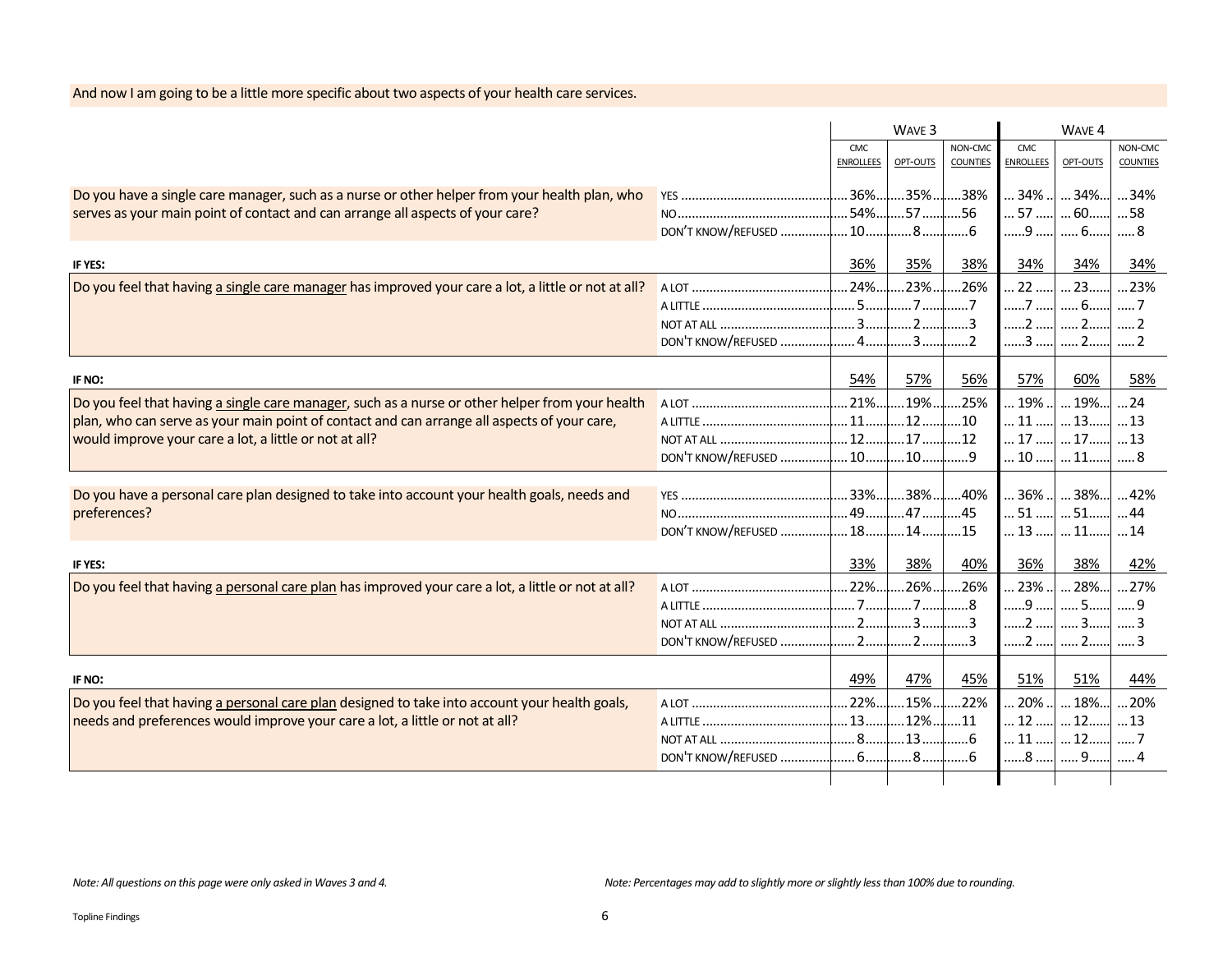|                                                                                                     |                    |                  | WAVE 3              |                 |                  | WAVE 4              |                 |
|-----------------------------------------------------------------------------------------------------|--------------------|------------------|---------------------|-----------------|------------------|---------------------|-----------------|
|                                                                                                     |                    | <b>CMC</b>       |                     | NON-CMC         | <b>CMC</b>       |                     | NON-CMC         |
|                                                                                                     |                    | <b>ENROLLEES</b> | OPT-OUTS            | <b>COUNTIES</b> | <b>ENROLLEES</b> | OPT-OUTS            | <b>COUNTIES</b> |
| Do you have a single care manager, such as a nurse or other helper from your health plan, who       |                    | $36\%$           | $.35\%$             | .38%            | $34\%$           | $34\%$              | 34%             |
| serves as your main point of contact and can arrange all aspects of your care?                      |                    | .54%             | .57                 | .56             | .57              | $\dots$ 60 $\dots$  | 58              |
|                                                                                                     |                    |                  | .8                  | 6               | 9                | 6                   | 8               |
|                                                                                                     |                    |                  |                     |                 |                  |                     |                 |
| IF YES:                                                                                             |                    | 36%              | 35%                 | 38%             | 34%              | 34%                 | 34%             |
| Do you feel that having a single care manager has improved your care a lot, a little or not at all? |                    | 24%l             | $.23\%$             | .26%            | .22              | $\dots$ 23 $\dots$  | 23%             |
|                                                                                                     |                    |                  | . 7                 | 7               | 7                | 6                   | . 7             |
|                                                                                                     |                    |                  | . 2                 | 3               | 2                | $\ldots$ 2 $\ldots$ | 2               |
|                                                                                                     |                    |                  | . 3                 |                 | 3                | 2                   | 2               |
|                                                                                                     |                    |                  |                     |                 |                  |                     |                 |
| IF NO:                                                                                              |                    | 54%              | 57%                 | 56%             | 57%              | 60%                 | 58%             |
| Do you feel that having a single care manager, such as a nurse or other helper from your health     |                    | $.21\%$          | .19%                | .25%            | 19%.             | .19%.               | $\dots$ 24      |
| plan, who can serve as your main point of contact and can arrange all aspects of your care,         |                    | .11              | .12.                | .10             | .11              | 13                  | 13              |
| would improve your care a lot, a little or not at all?                                              | NOT AT ALL         | 12.              | .17                 | .12             | .17              | 17                  | 13              |
|                                                                                                     | DON'T KNOW/REFUSED | 10               | .10                 | . 9             | . 10             | $\dots$ 11.         | 8               |
|                                                                                                     |                    |                  |                     |                 |                  |                     |                 |
| Do you have a personal care plan designed to take into account your health goals, needs and         |                    | 33%              | $.38\%$             | .40%            | . 36%            | $38\%$              | 42%             |
| preferences?                                                                                        |                    |                  | 47                  | 45              | . 51             | 51                  | 44              |
|                                                                                                     |                    |                  |                     | 15              | 13               | 11                  | 14              |
| IF YES:                                                                                             |                    | 33%              | 38%                 | 40%             | 36%              | 38%                 | 42%             |
| Do you feel that having a personal care plan has improved your care a lot, a little or not at all?  |                    | 22%              | .26%.               | .26%            | .23%             | $28\%$              | 27%             |
|                                                                                                     |                    | . 7              | 7                   | . . 8           | 9                | 5                   | . 9             |
|                                                                                                     |                    | . 2              | 3 <sub>1</sub>      |                 | . 2              | $\ldots$ 3          |                 |
|                                                                                                     | DON'T KNOW/REFUSED | 2                | 2                   | . 3             | 2                | 2                   |                 |
| IF NO:                                                                                              |                    | 49%              | 47%                 | 45%             | 51%              | 51%                 | 44%             |
|                                                                                                     |                    |                  |                     |                 |                  |                     |                 |
| Do you feel that having a personal care plan designed to take into account your health goals,       |                    | 22%l             | $.15\%$             | .22%            | 20%              | $18\%$              | 20%             |
| needs and preferences would improve your care a lot, a little or not at all?                        |                    |                  | $\dots$ 12% $\dots$ | $\dots$ 11      | $ 12$            | $\dots$ 12          | $\dots$ 13      |
|                                                                                                     |                    |                  | l13                 | 6               | 11               | 12                  | . 7             |
|                                                                                                     |                    |                  |                     | ……6             | 8                | 9                   | . 4             |
|                                                                                                     |                    |                  |                     |                 |                  |                     |                 |

## And now I am going to be a little more specific about two aspects of your health care services.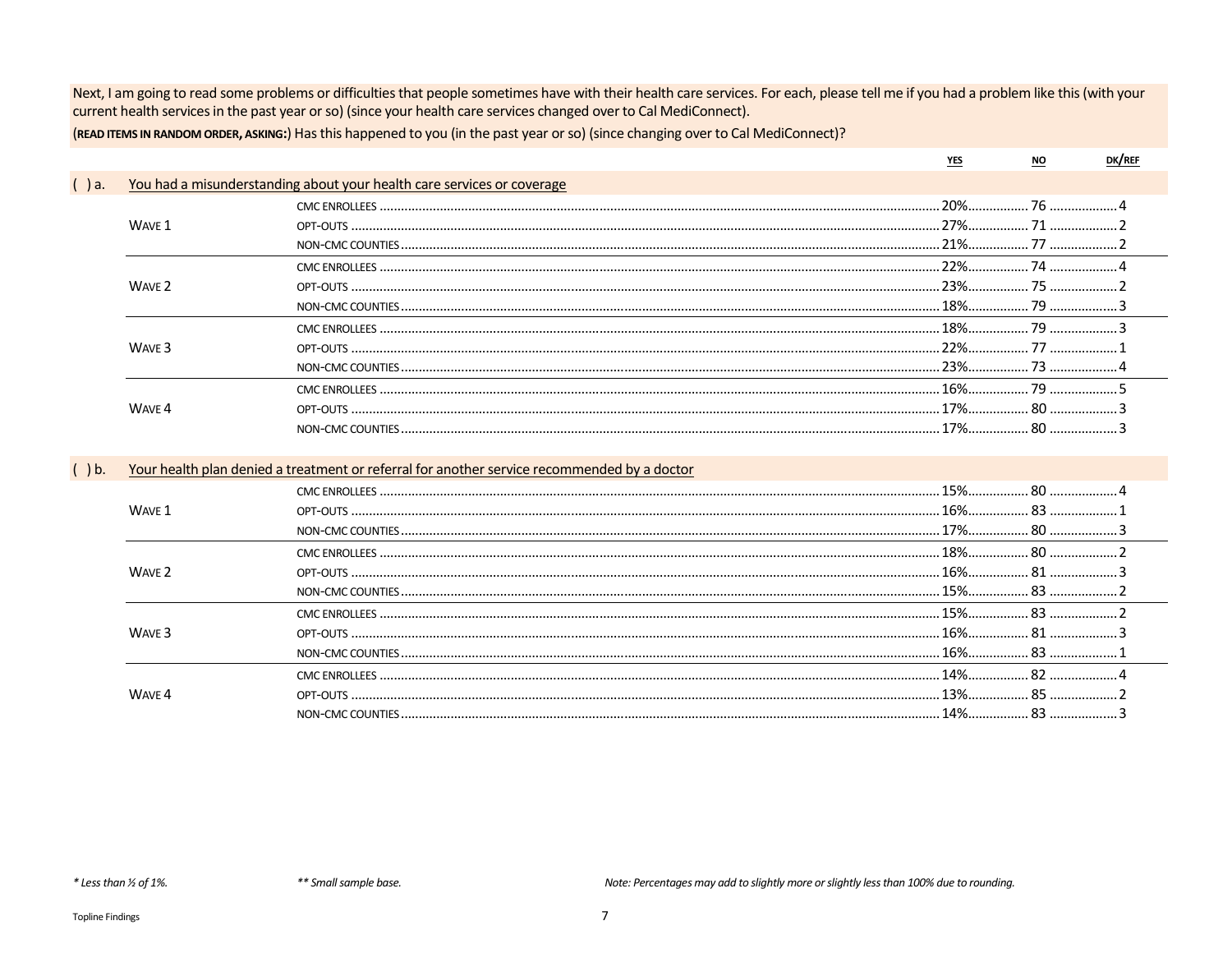Next, I am going to read some problems or difficulties that people sometimes have with their health care services. For each, please tell me if you had a problem like this (with your current health services in the past year or so) (since your health care services changed over to Cal MediConnect).

(READ ITEMS IN RANDOM ORDER, ASKING:) Has this happened to you (in the past year or so) (since changing over to Cal MediConnect)?

|      |                   |                                                                                             |       | NO.     |  |
|------|-------------------|---------------------------------------------------------------------------------------------|-------|---------|--|
| ) a. |                   | You had a misunderstanding about your health care services or coverage                      |       |         |  |
|      |                   |                                                                                             |       |         |  |
|      | WAVE 1            |                                                                                             |       |         |  |
|      |                   |                                                                                             |       |         |  |
|      |                   |                                                                                             |       |         |  |
|      | WAVE <sub>2</sub> |                                                                                             |       |         |  |
|      |                   |                                                                                             |       |         |  |
|      |                   |                                                                                             |       |         |  |
|      | WAVE <sub>3</sub> |                                                                                             |       |         |  |
|      |                   |                                                                                             |       |         |  |
|      |                   |                                                                                             |       |         |  |
|      | WAVE 4            |                                                                                             |       |         |  |
|      |                   |                                                                                             |       |         |  |
|      |                   |                                                                                             |       |         |  |
| ) b. |                   | Your health plan denied a treatment or referral for another service recommended by a doctor |       |         |  |
|      |                   | $C1$ $C2$ $C3$ $C4$ $C5$ $C6$                                                               | 1.50/ | $\circ$ |  |

|                   | CMC ENROLLEES     | . 80 |  |
|-------------------|-------------------|------|--|
| WAVF <sub>1</sub> |                   |      |  |
|                   | NON-CMC COUNTIES. |      |  |
|                   | CMC ENROLLEES     |      |  |
| WAVF <sub>2</sub> |                   |      |  |
|                   |                   |      |  |
|                   |                   |      |  |
|                   | CMC ENROLLEES     |      |  |
| WAVE <sup>3</sup> | <b>OPT-OLITS</b>  |      |  |
|                   | NON-CMC COUNTIES. |      |  |
|                   | CMC ENROLLEES     |      |  |
| WAVF .            | OPT-OUTS          |      |  |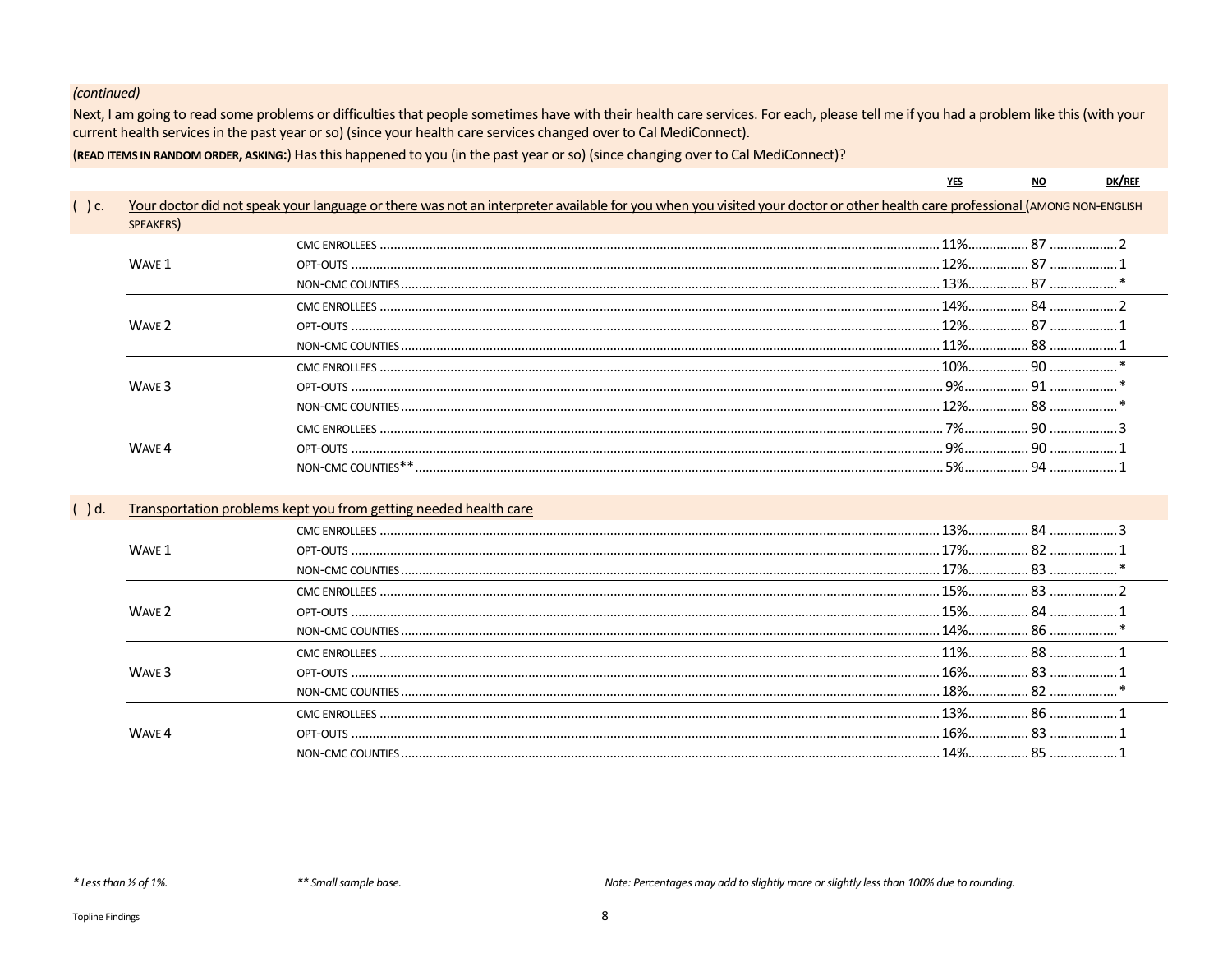Next, I am going to read some problems or difficulties that people sometimes have with their health care services. For each, please tell me if you had a problem like this (with your current health services in the past year or so) (since your health care services changed over to Cal MediConnect).

(READ ITEMS IN RANDOM ORDER, ASKING:) Has this happened to you (in the past year or so) (since changing over to Cal MediConnect)?

| DK/REI |
|--------|
|        |

 $\underline{\text{YES}}$ 

| $()$ c. |                   | Your doctor did not speak your language or there was not an interpreter available for you when you visited your doctor or other health care professional (AMONG NON-ENGLISH |  |  |
|---------|-------------------|-----------------------------------------------------------------------------------------------------------------------------------------------------------------------------|--|--|
|         | SPEAKERS)         |                                                                                                                                                                             |  |  |
|         |                   |                                                                                                                                                                             |  |  |
|         | WAVE 1            |                                                                                                                                                                             |  |  |
|         |                   |                                                                                                                                                                             |  |  |
|         |                   |                                                                                                                                                                             |  |  |
|         | WAVE 2            |                                                                                                                                                                             |  |  |
|         |                   |                                                                                                                                                                             |  |  |
|         |                   |                                                                                                                                                                             |  |  |
|         | WAVE <sub>3</sub> |                                                                                                                                                                             |  |  |
|         |                   |                                                                                                                                                                             |  |  |
|         |                   |                                                                                                                                                                             |  |  |
|         | WAVE 4            |                                                                                                                                                                             |  |  |
|         |                   |                                                                                                                                                                             |  |  |
|         |                   |                                                                                                                                                                             |  |  |
| $()$ d. |                   | Transportation problems kept you from getting needed health care                                                                                                            |  |  |
|         |                   |                                                                                                                                                                             |  |  |
|         | WAVE 1            |                                                                                                                                                                             |  |  |
|         |                   |                                                                                                                                                                             |  |  |
|         |                   |                                                                                                                                                                             |  |  |
|         | WAVE 2            |                                                                                                                                                                             |  |  |
|         |                   |                                                                                                                                                                             |  |  |
|         |                   |                                                                                                                                                                             |  |  |
|         | WAVE <sub>3</sub> |                                                                                                                                                                             |  |  |
|         |                   |                                                                                                                                                                             |  |  |
|         |                   |                                                                                                                                                                             |  |  |
|         | WAVE 4            |                                                                                                                                                                             |  |  |
|         |                   |                                                                                                                                                                             |  |  |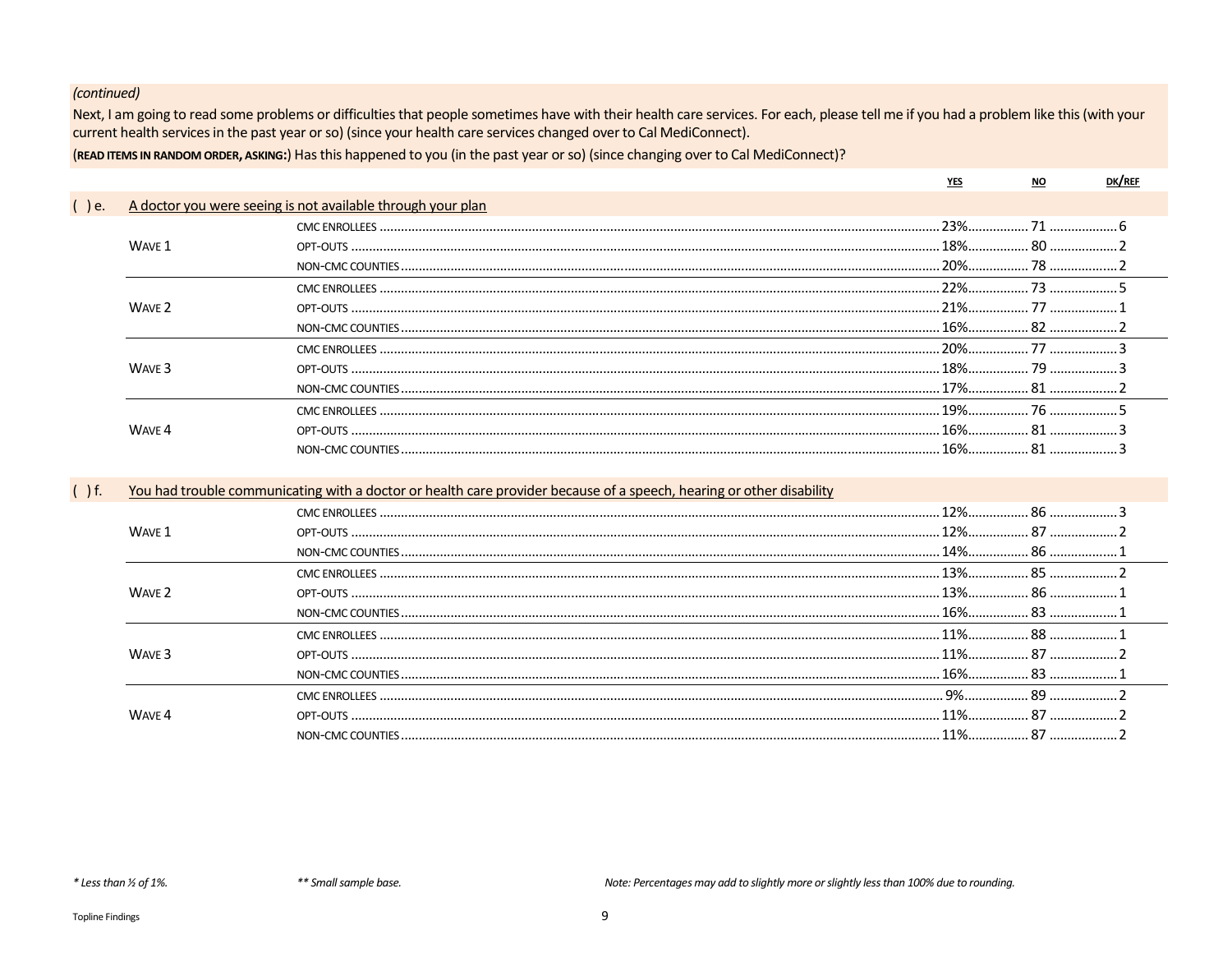$\overline{(}$ 

Next, I am going to read some problems or difficulties that people sometimes have with their health care services. For each, please tell me if you had a problem like this (with your current health services in the past year or so) (since your health care services changed over to Cal MediConnect).

(READ ITEMS IN RANDOM ORDER, ASKING:) Has this happened to you (in the past year or so) (since changing over to Cal MediConnect)?

| ) e. |                   | A doctor you were seeing is not available through your plan |        |  |
|------|-------------------|-------------------------------------------------------------|--------|--|
|      |                   |                                                             |        |  |
|      | WAVE 1            |                                                             |        |  |
|      |                   |                                                             |        |  |
|      |                   |                                                             |        |  |
|      | WAVE <sub>2</sub> |                                                             |        |  |
|      |                   |                                                             | 16% 82 |  |
|      |                   |                                                             |        |  |
|      | WAVE 3            |                                                             |        |  |
|      |                   |                                                             | 17% 81 |  |
|      |                   |                                                             |        |  |
|      | WAVF <sub>4</sub> |                                                             |        |  |
|      |                   |                                                             |        |  |
|      |                   |                                                             |        |  |

| $\mathsf{f}$ . |                   | You had trouble communicating with a doctor or health care provider because of a speech, hearing or other disability |  |  |
|----------------|-------------------|----------------------------------------------------------------------------------------------------------------------|--|--|
|                |                   |                                                                                                                      |  |  |
|                | WAVE 1            |                                                                                                                      |  |  |
|                |                   |                                                                                                                      |  |  |
|                | WAVE 2            | CMC ENROLLEES                                                                                                        |  |  |
|                |                   |                                                                                                                      |  |  |
|                |                   |                                                                                                                      |  |  |
|                | WAVE <sub>3</sub> |                                                                                                                      |  |  |
|                |                   |                                                                                                                      |  |  |
|                |                   | NON-CMC COUNTIES                                                                                                     |  |  |
|                | <b>WAVE 4</b>     | CMC ENROLLEES.                                                                                                       |  |  |
|                |                   |                                                                                                                      |  |  |
|                |                   |                                                                                                                      |  |  |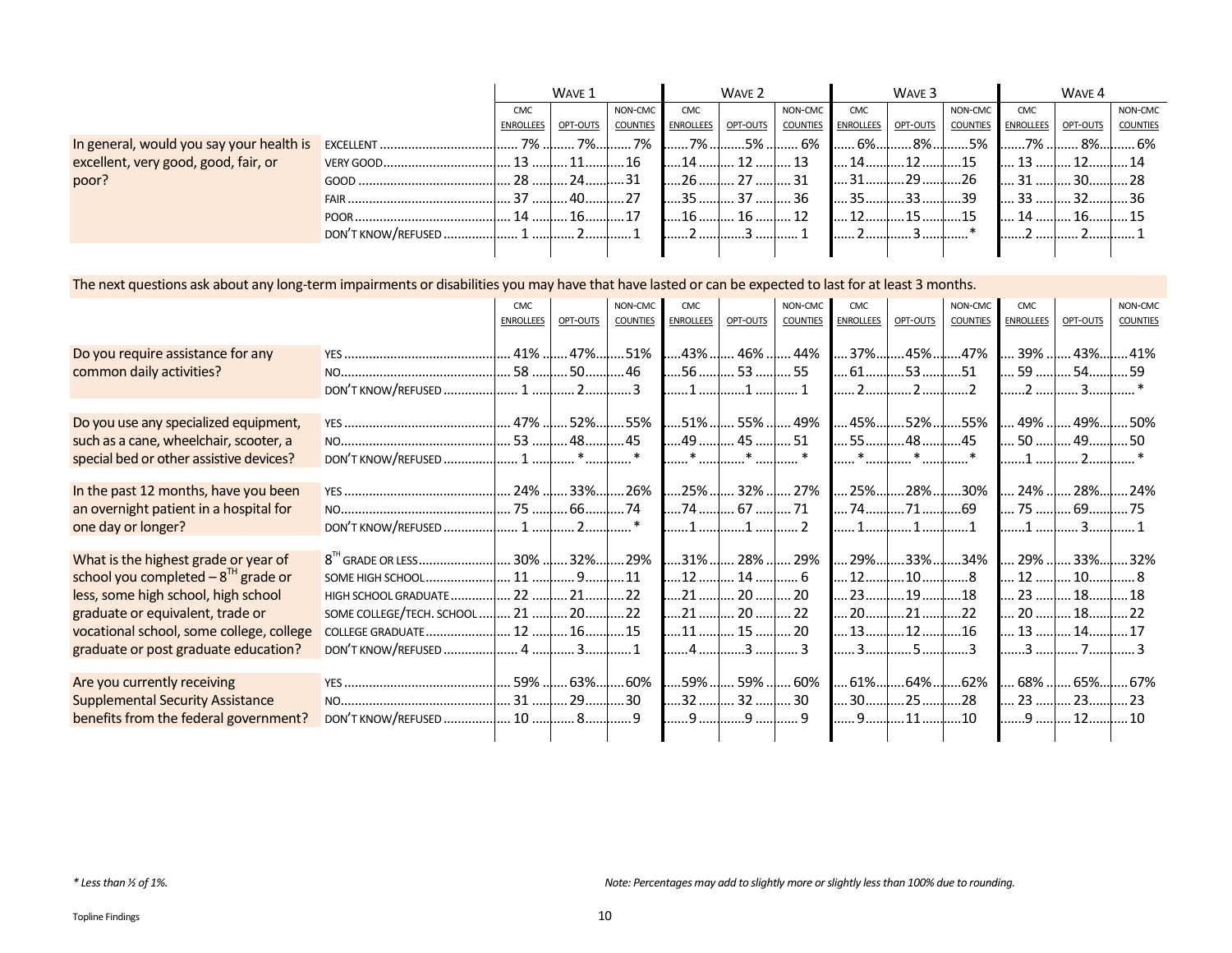|                                          |                    | WAVE 1                        |             | WAVE 2   |                    |          | WAVE <sub>3</sub> |                  |          | WAVE 4          |                    |               |                 |
|------------------------------------------|--------------------|-------------------------------|-------------|----------|--------------------|----------|-------------------|------------------|----------|-----------------|--------------------|---------------|-----------------|
|                                          |                    | <b>CMC</b>                    |             | NON-CMC  | <b>CMC</b>         |          | NON-CMC           | <b>CMC</b>       |          | NON-CMC         | <b>CMC</b>         |               | NON-CMC         |
|                                          |                    | ENROLLEES OPT-OUTS            |             | COUNTIES | <b>ENROLLEES</b>   | OPT-OUTS | <b>COUNTIES</b>   | <b>ENROLLEES</b> | OPT-OUTS | <b>COUNTIES</b> | ENROLLEES OPT-OUTS |               | <b>COUNTIES</b> |
| In general, would you say your health is | EXCELLENT          |                               |             |          | 7% ! 7%! 7%  7% !. | 5%       | 6% I              | $.6\%$           | 8%       | ……5%            | ■ ……7% …           | 8%l           | 6%              |
| excellent, very good, good, fair, or     |                    | 13 l                          | $\sim$ 11   | 16       | 14                 | 12       | 13                | 14               |          |                 | 13                 |               |                 |
| poor?                                    | $GOOD$             | 28 l 24                       |             | 31       | 26                 | 27       | 31                |                  | 29       |                 |                    |               |                 |
|                                          | FAIR               | $\dots$ 37 $\dots$ 40 $\dots$ |             | 27       | <b>135 </b>        | 37       | 36                | .35              |          | -30             | 33                 |               |                 |
|                                          | POOR.              | $\ldots$ . 14 $\ldots$        | $\ldots$ 16 | 17       | 16                 | 16       | 12                | ่ 1 วิ           |          |                 | $14$               | $\ldots$ . 16 |                 |
|                                          | DON'T KNOW/REFUSED |                               | 1 I 2I      |          |                    |          |                   |                  |          |                 |                    |               |                 |
|                                          |                    |                               |             |          |                    |          |                   |                  |          |                 |                    |               |                 |

#### The next questions ask about any long-term impairments or disabilities you may have that have lasted or can be expected to last for at least 3 months.

|                                                                                                                                                                                                                                                       |                                         | <b>CMC</b><br><b>ENROLLEES</b> | OPT-OUTS                    | NON-CMC<br><b>COUNTIES</b> | <b>CMC</b><br><b>ENROLLEES</b> | OPT-OUTS                                                                                      | NON-CMC<br><b>COUNTIES</b> | <b>CMC</b><br><b>ENROLLEES</b> | OPT-OUTS                                                | NON-CMC<br><b>COUNTIES</b> | <b>CMC</b><br><b>ENROLLEES</b> | OPT-OUTS                                                                                | NON-CMC<br>COUNTIES |
|-------------------------------------------------------------------------------------------------------------------------------------------------------------------------------------------------------------------------------------------------------|-----------------------------------------|--------------------------------|-----------------------------|----------------------------|--------------------------------|-----------------------------------------------------------------------------------------------|----------------------------|--------------------------------|---------------------------------------------------------|----------------------------|--------------------------------|-----------------------------------------------------------------------------------------|---------------------|
| Do you require assistance for any<br>common daily activities?                                                                                                                                                                                         | DON'T KNOW/REFUSED  1                   |                                | 23                          |                            |                                | 43%  46%  44%<br>56  53  55                                                                   |                            | 2                              | 37% 45%47%<br>$\dots 61$ $\dots$ 53 $\dots$ 51<br>2     | 2                          |                                | $\ldots$ 39% $\ldots$ 43% $\ldots$ 41%<br>59   54  59                                   |                     |
| Do you use any specialized equipment,<br>such as a cane, wheelchair, scooter, a<br>special bed or other assistive devices?                                                                                                                            |                                         |                                | *                           |                            |                                | 51%  55%  49%<br>49 $\left[ \ldots 45 \ldots \right]$ 51                                      |                            |                                | 45%52%55%<br>55 $\dots$ 48 $\dots$ 45                   |                            |                                | 49%  49% 50%<br>50   49                                                                 |                     |
| In the past 12 months, have you been<br>an overnight patient in a hospital for<br>one day or longer?                                                                                                                                                  |                                         | 75 l                           | 33% 26%<br>6674<br>2*       |                            |                                | 25%   32%   27%<br>74  67  71<br>1  1   2                                                     |                            | 1                              | $\dots$ 25% $\dots$ 28% $\dots$ 30%<br>7471<br>. 1      | 69<br>1                    |                                | 24%  28% 24%<br>75 ! 69! 75<br>1 I 3                                                    |                     |
| What is the highest grade or year of<br>school you completed $-8^{\text{th}}$ grade or<br>less, some high school, high school<br>graduate or equivalent, trade or<br>vocational school, some college, college<br>graduate or post graduate education? | SOME COLLEGE/TECH. SCHOOL   21   20  22 |                                |                             |                            |                                | 12   14   6<br>21  20  20<br>21  20  22<br>11 <mark>.</mark> 15 <mark>.</mark> 20<br>4  3   3 |                            |                                | 13  12   16<br>3 5                                      | 3                          |                                | 29% 33%34%  29%  33% 32%<br>12 ! 10! 8<br>23   18  18<br>20 ! 18!<br>13   14 <br>3 I 7I | . 17                |
| Are you currently receiving<br><b>Supplemental Security Assistance</b><br>benefits from the federal government?                                                                                                                                       |                                         | $\dots$ 31 $\dots$             | $\dots$ 29 $\dots$ 30<br>89 |                            |                                | 59%  59%  60%<br>32   32   30                                                                 | 9                          | 9                              | $\dots$ 61% $\dots$ 64% $\dots$ 62%<br>30  25  28<br>11 | $\dots$ 10                 |                                | 68%  65% 67%<br>23   23 <br>9 ! 12                                                      | $\dots$ 10          |